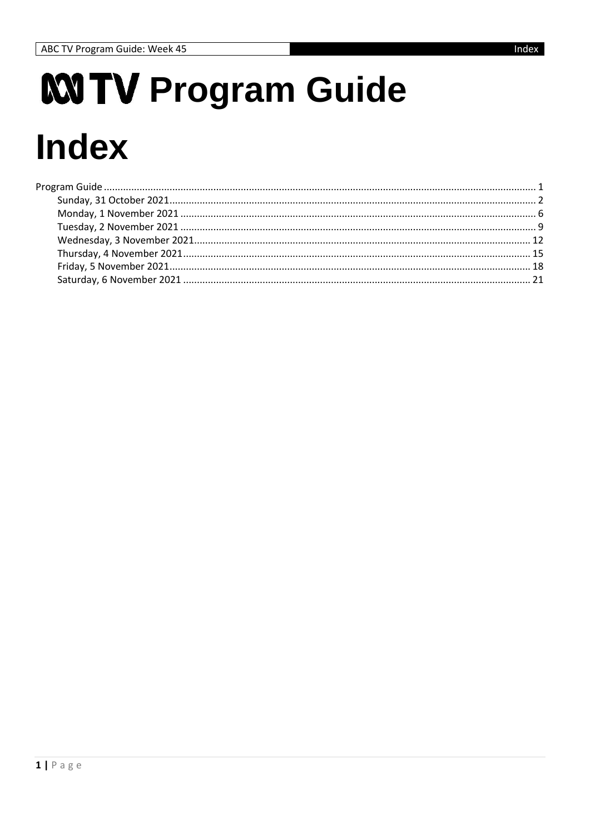# <span id="page-0-0"></span>**MTV Program Guide Index**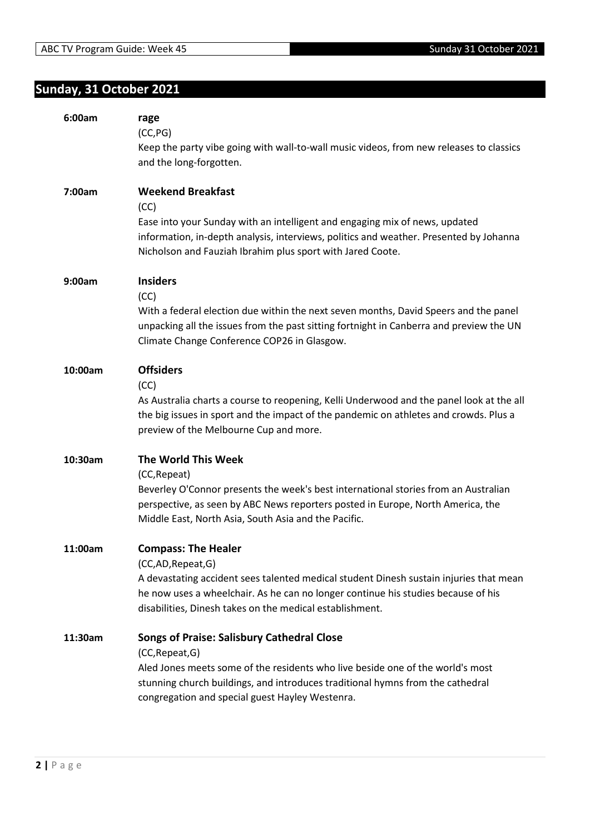# <span id="page-1-0"></span>**Sunday, 31 October 2021**

| 6:00am  | rage<br>(CC, PG)<br>Keep the party vibe going with wall-to-wall music videos, from new releases to classics<br>and the long-forgotten.                                                                                                                                                      |
|---------|---------------------------------------------------------------------------------------------------------------------------------------------------------------------------------------------------------------------------------------------------------------------------------------------|
| 7:00am  | <b>Weekend Breakfast</b><br>(CC)<br>Ease into your Sunday with an intelligent and engaging mix of news, updated<br>information, in-depth analysis, interviews, politics and weather. Presented by Johanna<br>Nicholson and Fauziah Ibrahim plus sport with Jared Coote.                     |
| 9:00am  | <b>Insiders</b><br>(CC)<br>With a federal election due within the next seven months, David Speers and the panel<br>unpacking all the issues from the past sitting fortnight in Canberra and preview the UN<br>Climate Change Conference COP26 in Glasgow.                                   |
| 10:00am | <b>Offsiders</b><br>(CC)<br>As Australia charts a course to reopening, Kelli Underwood and the panel look at the all<br>the big issues in sport and the impact of the pandemic on athletes and crowds. Plus a<br>preview of the Melbourne Cup and more.                                     |
| 10:30am | The World This Week<br>(CC, Repeat)<br>Beverley O'Connor presents the week's best international stories from an Australian<br>perspective, as seen by ABC News reporters posted in Europe, North America, the<br>Middle East, North Asia, South Asia and the Pacific.                       |
| 11:00am | <b>Compass: The Healer</b><br>(CC,AD, Repeat, G)<br>A devastating accident sees talented medical student Dinesh sustain injuries that mean<br>he now uses a wheelchair. As he can no longer continue his studies because of his<br>disabilities, Dinesh takes on the medical establishment. |
| 11:30am | <b>Songs of Praise: Salisbury Cathedral Close</b><br>(CC, Repeat, G)<br>Aled Jones meets some of the residents who live beside one of the world's most<br>stunning church buildings, and introduces traditional hymns from the cathedral<br>congregation and special guest Hayley Westenra. |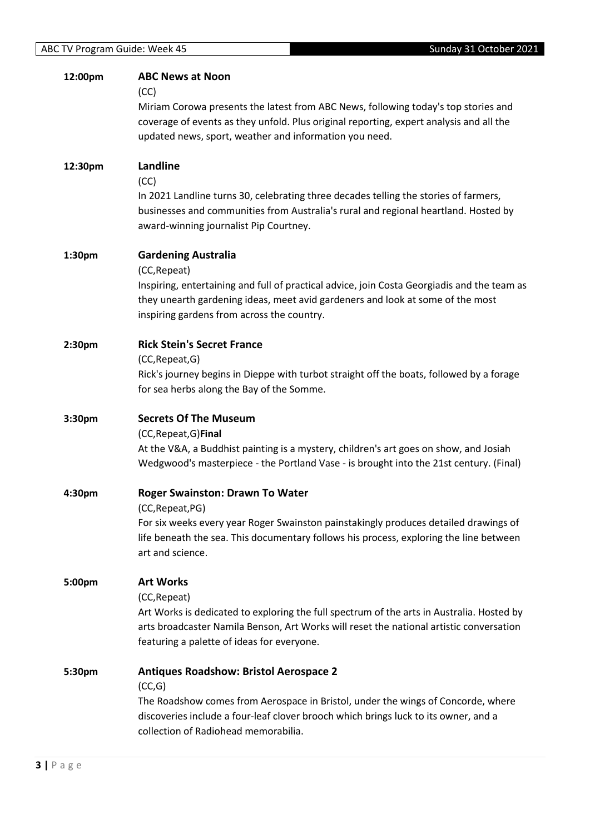| 12:00pm | <b>ABC News at Noon</b>                                                                     |
|---------|---------------------------------------------------------------------------------------------|
|         | (CC)                                                                                        |
|         | Miriam Corowa presents the latest from ABC News, following today's top stories and          |
|         | coverage of events as they unfold. Plus original reporting, expert analysis and all the     |
|         | updated news, sport, weather and information you need.                                      |
|         |                                                                                             |
| 12:30pm | Landline                                                                                    |
|         | (CC)                                                                                        |
|         | In 2021 Landline turns 30, celebrating three decades telling the stories of farmers,        |
|         | businesses and communities from Australia's rural and regional heartland. Hosted by         |
|         | award-winning journalist Pip Courtney.                                                      |
|         |                                                                                             |
| 1:30pm  | <b>Gardening Australia</b>                                                                  |
|         | (CC, Repeat)                                                                                |
|         | Inspiring, entertaining and full of practical advice, join Costa Georgiadis and the team as |
|         | they unearth gardening ideas, meet avid gardeners and look at some of the most              |
|         | inspiring gardens from across the country.                                                  |
|         |                                                                                             |
| 2:30pm  | <b>Rick Stein's Secret France</b>                                                           |
|         | (CC, Repeat, G)                                                                             |
|         | Rick's journey begins in Dieppe with turbot straight off the boats, followed by a forage    |
|         | for sea herbs along the Bay of the Somme.                                                   |
|         |                                                                                             |
| 3:30pm  | <b>Secrets Of The Museum</b>                                                                |
|         | (CC, Repeat, G) Final                                                                       |
|         | At the V&A, a Buddhist painting is a mystery, children's art goes on show, and Josiah       |
|         | Wedgwood's masterpiece - the Portland Vase - is brought into the 21st century. (Final)      |
|         |                                                                                             |
| 4:30pm  | <b>Roger Swainston: Drawn To Water</b>                                                      |
|         | (CC, Repeat, PG)                                                                            |
|         | For six weeks every year Roger Swainston painstakingly produces detailed drawings of        |
|         | life beneath the sea. This documentary follows his process, exploring the line between      |
|         | art and science.                                                                            |
|         |                                                                                             |
| 5:00pm  | <b>Art Works</b>                                                                            |
|         | (CC, Repeat)                                                                                |
|         | Art Works is dedicated to exploring the full spectrum of the arts in Australia. Hosted by   |
|         | arts broadcaster Namila Benson, Art Works will reset the national artistic conversation     |
|         | featuring a palette of ideas for everyone.                                                  |
| 5:30pm  | <b>Antiques Roadshow: Bristol Aerospace 2</b>                                               |
|         | (CC,G)                                                                                      |
|         | The Roadshow comes from Aerospace in Bristol, under the wings of Concorde, where            |
|         | discoveries include a four-leaf clover brooch which brings luck to its owner, and a         |
|         | collection of Radiohead memorabilia.                                                        |
|         |                                                                                             |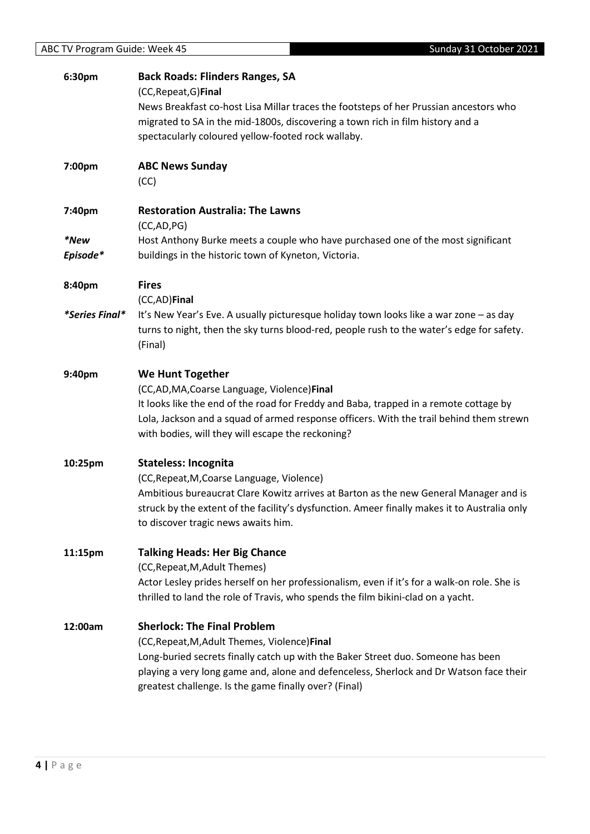| <b>ABC TV Program Guide: Week 45</b> | Sunday 31 October 2021                                                                       |
|--------------------------------------|----------------------------------------------------------------------------------------------|
| 6:30pm                               | <b>Back Roads: Flinders Ranges, SA</b>                                                       |
|                                      | (CC, Repeat, G) Final                                                                        |
|                                      | News Breakfast co-host Lisa Millar traces the footsteps of her Prussian ancestors who        |
|                                      | migrated to SA in the mid-1800s, discovering a town rich in film history and a               |
|                                      | spectacularly coloured yellow-footed rock wallaby.                                           |
|                                      |                                                                                              |
| 7:00pm                               | <b>ABC News Sunday</b>                                                                       |
|                                      | (CC)                                                                                         |
| 7:40pm                               | <b>Restoration Australia: The Lawns</b>                                                      |
|                                      | (CC, AD, PG)                                                                                 |
| *New                                 | Host Anthony Burke meets a couple who have purchased one of the most significant             |
| Episode*                             | buildings in the historic town of Kyneton, Victoria.                                         |
|                                      |                                                                                              |
| 8:40pm                               | <b>Fires</b>                                                                                 |
|                                      | (CC,AD)Final                                                                                 |
| *Series Final*                       | It's New Year's Eve. A usually picturesque holiday town looks like a war zone - as day       |
|                                      | turns to night, then the sky turns blood-red, people rush to the water's edge for safety.    |
|                                      | (Final)                                                                                      |
| 9:40pm                               | <b>We Hunt Together</b>                                                                      |
|                                      | (CC,AD,MA,Coarse Language, Violence)Final                                                    |
|                                      | It looks like the end of the road for Freddy and Baba, trapped in a remote cottage by        |
|                                      | Lola, Jackson and a squad of armed response officers. With the trail behind them strewn      |
|                                      | with bodies, will they will escape the reckoning?                                            |
| 10:25pm                              | <b>Stateless: Incognita</b>                                                                  |
|                                      | (CC, Repeat, M, Coarse Language, Violence)                                                   |
|                                      | Ambitious bureaucrat Clare Kowitz arrives at Barton as the new General Manager and is        |
|                                      | struck by the extent of the facility's dysfunction. Ameer finally makes it to Australia only |
|                                      | to discover tragic news awaits him.                                                          |
|                                      |                                                                                              |
| 11:15pm                              | <b>Talking Heads: Her Big Chance</b>                                                         |
|                                      | (CC, Repeat, M, Adult Themes)                                                                |
|                                      | Actor Lesley prides herself on her professionalism, even if it's for a walk-on role. She is  |
|                                      | thrilled to land the role of Travis, who spends the film bikini-clad on a yacht.             |
| 12:00am                              | <b>Sherlock: The Final Problem</b>                                                           |
|                                      | (CC, Repeat, M, Adult Themes, Violence) Final                                                |
|                                      | Long-buried secrets finally catch up with the Baker Street duo. Someone has been             |
|                                      | playing a very long game and, alone and defenceless, Sherlock and Dr Watson face their       |
|                                      | greatest challenge. Is the game finally over? (Final)                                        |
|                                      |                                                                                              |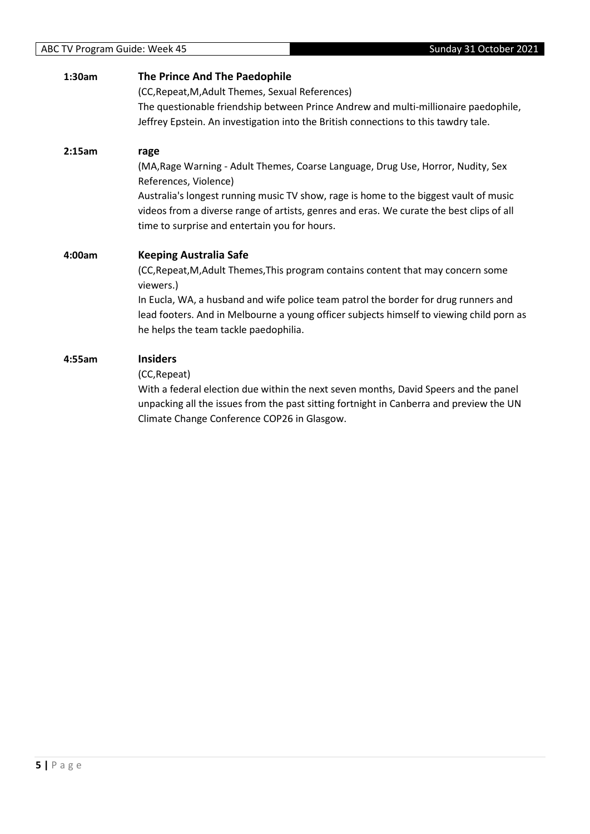| 1:30am | The Prince And The Paedophile                                                                                                                                                                                                      |
|--------|------------------------------------------------------------------------------------------------------------------------------------------------------------------------------------------------------------------------------------|
|        | (CC, Repeat, M, Adult Themes, Sexual References)                                                                                                                                                                                   |
|        | The questionable friendship between Prince Andrew and multi-millionaire paedophile,                                                                                                                                                |
|        | Jeffrey Epstein. An investigation into the British connections to this tawdry tale.                                                                                                                                                |
| 2:15am | rage                                                                                                                                                                                                                               |
|        | (MA, Rage Warning - Adult Themes, Coarse Language, Drug Use, Horror, Nudity, Sex<br>References, Violence)                                                                                                                          |
|        | Australia's longest running music TV show, rage is home to the biggest vault of music<br>videos from a diverse range of artists, genres and eras. We curate the best clips of all<br>time to surprise and entertain you for hours. |
| 4:00am | <b>Keeping Australia Safe</b>                                                                                                                                                                                                      |
|        | (CC, Repeat, M, Adult Themes, This program contains content that may concern some<br>viewers.)                                                                                                                                     |
|        | In Eucla, WA, a husband and wife police team patrol the border for drug runners and<br>lead footers. And in Melbourne a young officer subjects himself to viewing child porn as<br>he helps the team tackle paedophilia.           |
| 4:55am | <b>Insiders</b>                                                                                                                                                                                                                    |
|        | (CC, Repeat)                                                                                                                                                                                                                       |
|        | With a federal election due within the next seven months, David Speers and the panel<br>unpacking all the issues from the past sitting fortnight in Canberra and preview the UN<br>Climate Change Conference COP26 in Glasgow.     |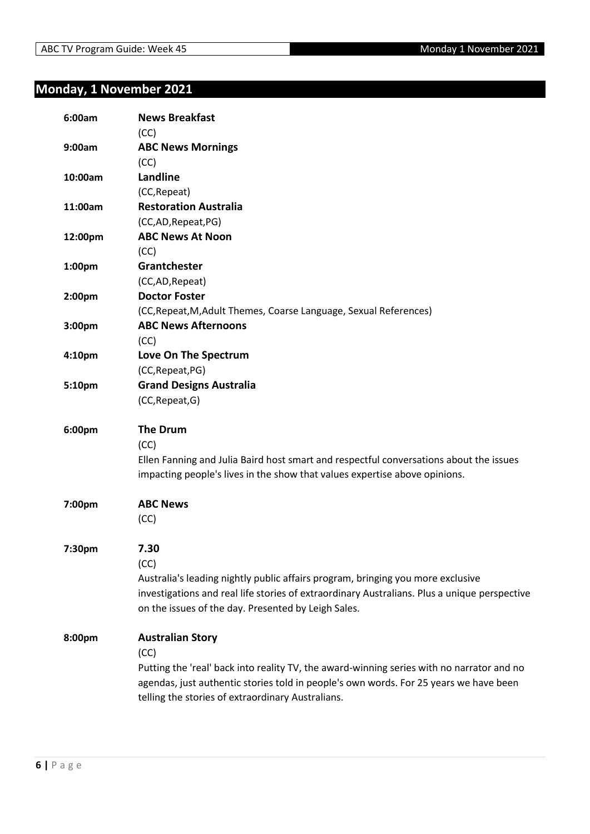# <span id="page-5-0"></span>**Monday, 1 November 2021**

| 6:00am  | <b>News Breakfast</b>                                                                        |
|---------|----------------------------------------------------------------------------------------------|
| 9:00am  | (CC)<br><b>ABC News Mornings</b>                                                             |
|         | (CC)                                                                                         |
| 10:00am | Landline                                                                                     |
|         | (CC, Repeat)                                                                                 |
| 11:00am | <b>Restoration Australia</b>                                                                 |
|         | (CC,AD,Repeat,PG)                                                                            |
| 12:00pm | <b>ABC News At Noon</b>                                                                      |
|         | (CC)                                                                                         |
| 1:00pm  | Grantchester                                                                                 |
|         | (CC,AD, Repeat)                                                                              |
| 2:00pm  | <b>Doctor Foster</b>                                                                         |
|         | (CC, Repeat, M, Adult Themes, Coarse Language, Sexual References)                            |
| 3:00pm  | <b>ABC News Afternoons</b>                                                                   |
|         | (CC)                                                                                         |
| 4:10pm  | Love On The Spectrum                                                                         |
|         | (CC, Repeat, PG)                                                                             |
| 5:10pm  | <b>Grand Designs Australia</b>                                                               |
|         | (CC, Repeat, G)                                                                              |
| 6:00pm  | <b>The Drum</b>                                                                              |
|         | (CC)                                                                                         |
|         | Ellen Fanning and Julia Baird host smart and respectful conversations about the issues       |
|         | impacting people's lives in the show that values expertise above opinions.                   |
| 7:00pm  | <b>ABC News</b>                                                                              |
|         | (CC)                                                                                         |
| 7:30pm  | 7.30                                                                                         |
|         | (CC)                                                                                         |
|         | Australia's leading nightly public affairs program, bringing you more exclusive              |
|         | investigations and real life stories of extraordinary Australians. Plus a unique perspective |
|         | on the issues of the day. Presented by Leigh Sales.                                          |
| 8:00pm  | <b>Australian Story</b>                                                                      |
|         | (CC)                                                                                         |
|         | Putting the 'real' back into reality TV, the award-winning series with no narrator and no    |
|         | agendas, just authentic stories told in people's own words. For 25 years we have been        |
|         | telling the stories of extraordinary Australians.                                            |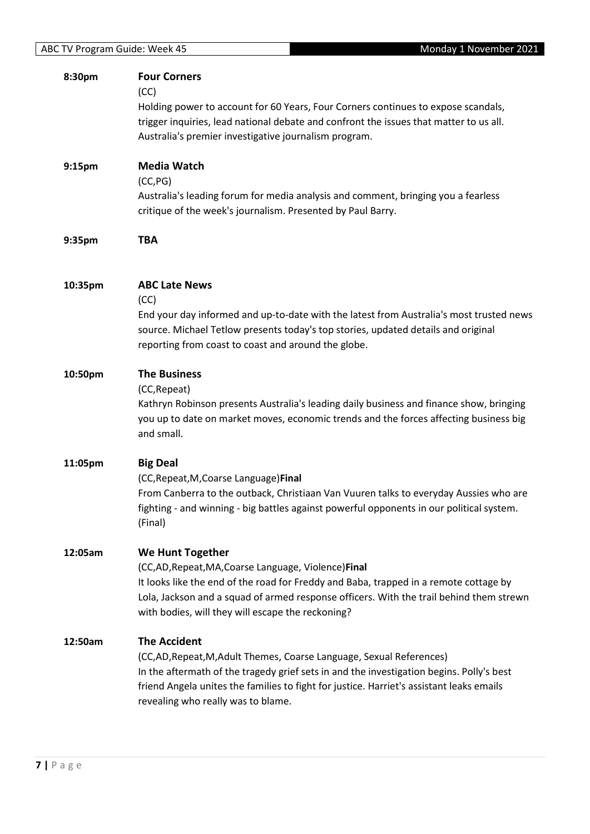| 8:30pm  | <b>Four Corners</b><br>(CC)<br>Holding power to account for 60 Years, Four Corners continues to expose scandals,<br>trigger inquiries, lead national debate and confront the issues that matter to us all.<br>Australia's premier investigative journalism program.                                                       |
|---------|---------------------------------------------------------------------------------------------------------------------------------------------------------------------------------------------------------------------------------------------------------------------------------------------------------------------------|
| 9:15pm  | <b>Media Watch</b><br>(CC, PG)<br>Australia's leading forum for media analysis and comment, bringing you a fearless<br>critique of the week's journalism. Presented by Paul Barry.                                                                                                                                        |
| 9:35pm  | <b>TBA</b>                                                                                                                                                                                                                                                                                                                |
| 10:35pm | <b>ABC Late News</b><br>(CC)<br>End your day informed and up-to-date with the latest from Australia's most trusted news<br>source. Michael Tetlow presents today's top stories, updated details and original<br>reporting from coast to coast and around the globe.                                                       |
| 10:50pm | <b>The Business</b><br>(CC, Repeat)<br>Kathryn Robinson presents Australia's leading daily business and finance show, bringing<br>you up to date on market moves, economic trends and the forces affecting business big<br>and small.                                                                                     |
| 11:05pm | <b>Big Deal</b><br>(CC, Repeat, M, Coarse Language) Final<br>From Canberra to the outback, Christiaan Van Vuuren talks to everyday Aussies who are<br>fighting - and winning - big battles against powerful opponents in our political system.<br>(Final)                                                                 |
| 12:05am | We Hunt Together<br>(CC,AD, Repeat, MA, Coarse Language, Violence) Final<br>It looks like the end of the road for Freddy and Baba, trapped in a remote cottage by<br>Lola, Jackson and a squad of armed response officers. With the trail behind them strewn<br>with bodies, will they will escape the reckoning?         |
| 12:50am | <b>The Accident</b><br>(CC,AD, Repeat, M, Adult Themes, Coarse Language, Sexual References)<br>In the aftermath of the tragedy grief sets in and the investigation begins. Polly's best<br>friend Angela unites the families to fight for justice. Harriet's assistant leaks emails<br>revealing who really was to blame. |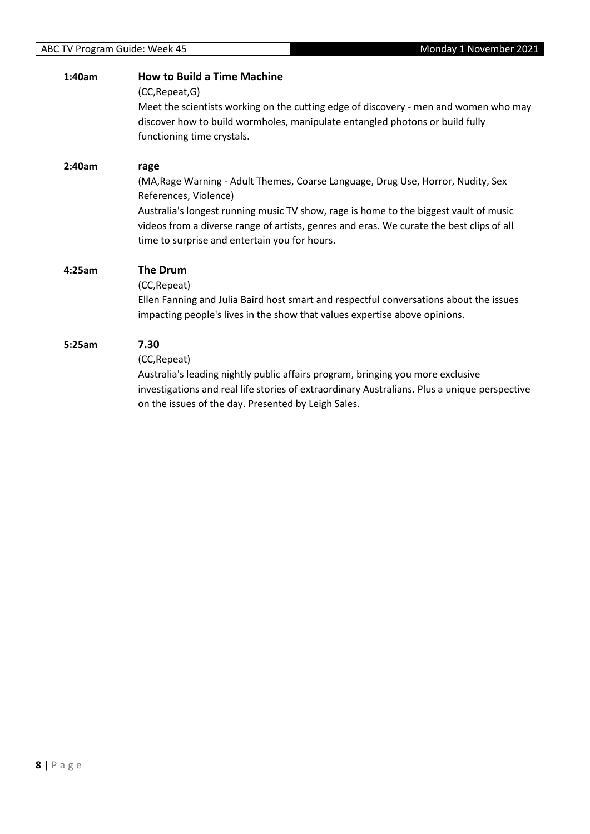| 1:40am | <b>How to Build a Time Machine</b><br>(CC, Repeat, G)<br>Meet the scientists working on the cutting edge of discovery - men and women who may<br>discover how to build wormholes, manipulate entangled photons or build fully<br>functioning time crystals.                                                                                             |
|--------|---------------------------------------------------------------------------------------------------------------------------------------------------------------------------------------------------------------------------------------------------------------------------------------------------------------------------------------------------------|
| 2:40am | rage<br>(MA, Rage Warning - Adult Themes, Coarse Language, Drug Use, Horror, Nudity, Sex<br>References, Violence)<br>Australia's longest running music TV show, rage is home to the biggest vault of music<br>videos from a diverse range of artists, genres and eras. We curate the best clips of all<br>time to surprise and entertain you for hours. |
| 4:25am | The Drum<br>(CC, Repeat)<br>Ellen Fanning and Julia Baird host smart and respectful conversations about the issues<br>impacting people's lives in the show that values expertise above opinions.                                                                                                                                                        |
| 5:25am | 7.30<br>(CC, Repeat)<br>Australia's leading nightly public affairs program, bringing you more exclusive<br>investigations and real life stories of extraordinary Australians. Plus a unique perspective<br>on the issues of the day. Presented by Leigh Sales.                                                                                          |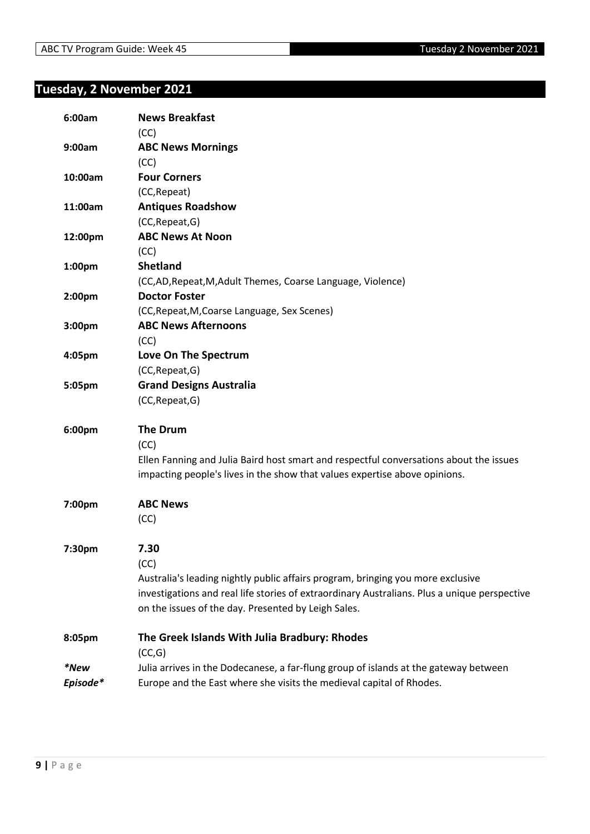# <span id="page-8-0"></span>**Tuesday, 2 November 2021**

| 6:00am   | <b>News Breakfast</b>                                                                        |
|----------|----------------------------------------------------------------------------------------------|
|          | (CC)                                                                                         |
| 9:00am   | <b>ABC News Mornings</b>                                                                     |
|          | (CC)                                                                                         |
| 10:00am  | <b>Four Corners</b>                                                                          |
|          | (CC, Repeat)                                                                                 |
| 11:00am  | <b>Antiques Roadshow</b>                                                                     |
|          | (CC, Repeat, G)                                                                              |
| 12:00pm  | <b>ABC News At Noon</b>                                                                      |
|          | (CC)                                                                                         |
| 1:00pm   | <b>Shetland</b>                                                                              |
|          | (CC,AD, Repeat, M, Adult Themes, Coarse Language, Violence)                                  |
| 2:00pm   | <b>Doctor Foster</b>                                                                         |
|          | (CC, Repeat, M, Coarse Language, Sex Scenes)                                                 |
| 3:00pm   | <b>ABC News Afternoons</b>                                                                   |
|          | (CC)                                                                                         |
| 4:05pm   | Love On The Spectrum                                                                         |
|          | (CC, Repeat, G)                                                                              |
| 5:05pm   | <b>Grand Designs Australia</b>                                                               |
|          | (CC, Repeat, G)                                                                              |
| 6:00pm   | <b>The Drum</b>                                                                              |
|          | (CC)                                                                                         |
|          | Ellen Fanning and Julia Baird host smart and respectful conversations about the issues       |
|          | impacting people's lives in the show that values expertise above opinions.                   |
| 7:00pm   | <b>ABC News</b>                                                                              |
|          | (CC)                                                                                         |
| 7:30pm   | 7.30                                                                                         |
|          | (CC)                                                                                         |
|          | Australia's leading nightly public affairs program, bringing you more exclusive              |
|          | investigations and real life stories of extraordinary Australians. Plus a unique perspective |
|          | on the issues of the day. Presented by Leigh Sales.                                          |
| 8:05pm   | The Greek Islands With Julia Bradbury: Rhodes                                                |
|          | (CC,G)                                                                                       |
| *New     | Julia arrives in the Dodecanese, a far-flung group of islands at the gateway between         |
| Episode* | Europe and the East where she visits the medieval capital of Rhodes.                         |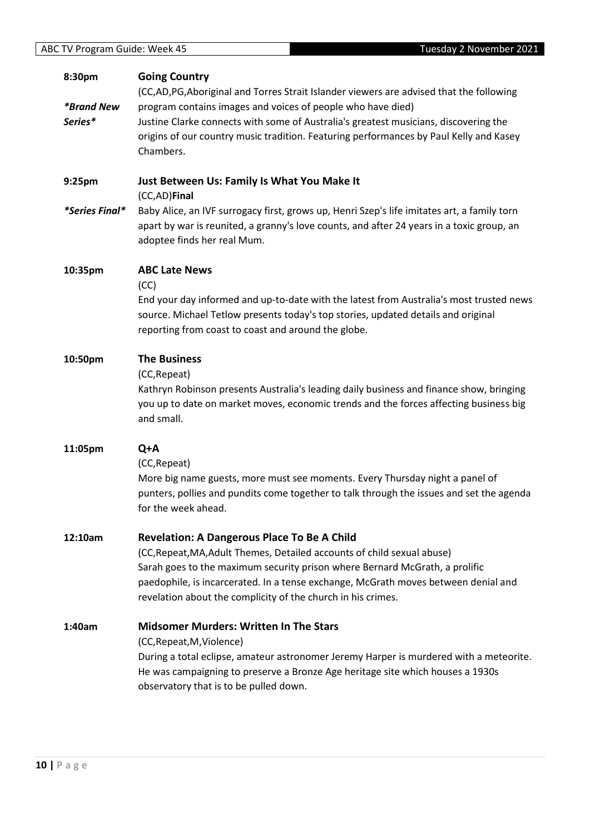**10 |** P a g e

| 8:30pm                   | <b>Going Country</b><br>(CC,AD,PG,Aboriginal and Torres Strait Islander viewers are advised that the following                                                                                                                                                                                                                                                     |
|--------------------------|--------------------------------------------------------------------------------------------------------------------------------------------------------------------------------------------------------------------------------------------------------------------------------------------------------------------------------------------------------------------|
| <i><b>*Brand New</b></i> | program contains images and voices of people who have died)                                                                                                                                                                                                                                                                                                        |
| Series*                  | Justine Clarke connects with some of Australia's greatest musicians, discovering the<br>origins of our country music tradition. Featuring performances by Paul Kelly and Kasey<br>Chambers.                                                                                                                                                                        |
| 9:25pm                   | Just Between Us: Family Is What You Make It<br>(CC,AD)Final                                                                                                                                                                                                                                                                                                        |
| *Series Final*           | Baby Alice, an IVF surrogacy first, grows up, Henri Szep's life imitates art, a family torn<br>apart by war is reunited, a granny's love counts, and after 24 years in a toxic group, an<br>adoptee finds her real Mum.                                                                                                                                            |
| 10:35pm                  | <b>ABC Late News</b><br>(CC)                                                                                                                                                                                                                                                                                                                                       |
|                          | End your day informed and up-to-date with the latest from Australia's most trusted news<br>source. Michael Tetlow presents today's top stories, updated details and original<br>reporting from coast to coast and around the globe.                                                                                                                                |
| 10:50pm                  | <b>The Business</b><br>(CC, Repeat)<br>Kathryn Robinson presents Australia's leading daily business and finance show, bringing<br>you up to date on market moves, economic trends and the forces affecting business big<br>and small.                                                                                                                              |
| 11:05pm                  | Q+A<br>(CC, Repeat)<br>More big name guests, more must see moments. Every Thursday night a panel of<br>punters, pollies and pundits come together to talk through the issues and set the agenda<br>for the week ahead.                                                                                                                                             |
| 12:10am                  | <b>Revelation: A Dangerous Place To Be A Child</b><br>(CC, Repeat, MA, Adult Themes, Detailed accounts of child sexual abuse)<br>Sarah goes to the maximum security prison where Bernard McGrath, a prolific<br>paedophile, is incarcerated. In a tense exchange, McGrath moves between denial and<br>revelation about the complicity of the church in his crimes. |
| 1:40am                   | <b>Midsomer Murders: Written In The Stars</b><br>(CC, Repeat, M, Violence)<br>During a total eclipse, amateur astronomer Jeremy Harper is murdered with a meteorite.<br>He was campaigning to preserve a Bronze Age heritage site which houses a 1930s<br>observatory that is to be pulled down.                                                                   |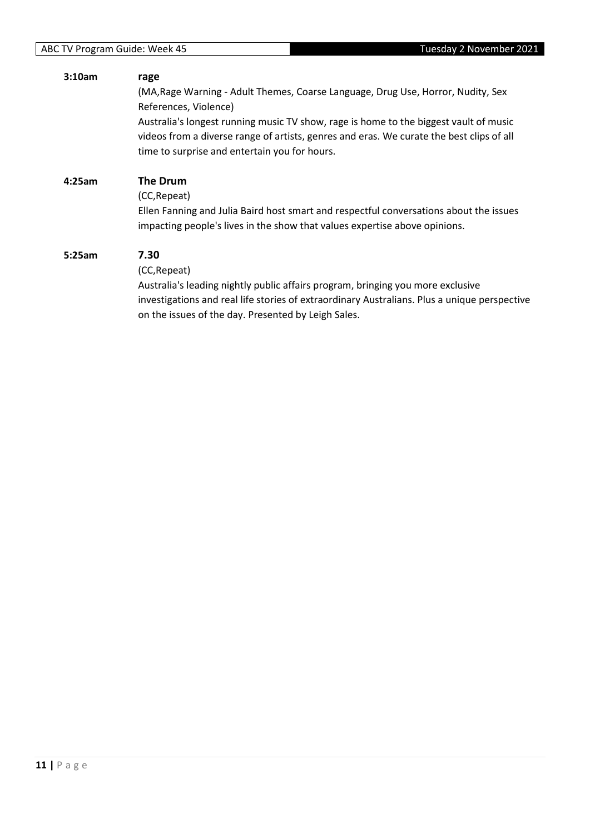| 3:10am | rage                                                                                                                                                                              |
|--------|-----------------------------------------------------------------------------------------------------------------------------------------------------------------------------------|
|        | (MA, Rage Warning - Adult Themes, Coarse Language, Drug Use, Horror, Nudity, Sex                                                                                                  |
|        | References, Violence)                                                                                                                                                             |
|        | Australia's longest running music TV show, rage is home to the biggest vault of music<br>videos from a diverse range of artists, genres and eras. We curate the best clips of all |
|        | time to surprise and entertain you for hours.                                                                                                                                     |
| 4:25am | <b>The Drum</b>                                                                                                                                                                   |
|        | (CC, Repeat)                                                                                                                                                                      |
|        | Ellen Fanning and Julia Baird host smart and respectful conversations about the issues                                                                                            |
|        | impacting people's lives in the show that values expertise above opinions.                                                                                                        |
| 5:25am | 7.30                                                                                                                                                                              |
|        | (CC, Repeat)                                                                                                                                                                      |
|        | Australia's leading nightly public affairs program, bringing you more exclusive                                                                                                   |
|        | investigations and real life stories of extraordinary Australians. Plus a unique perspective                                                                                      |
|        | on the issues of the day. Presented by Leigh Sales.                                                                                                                               |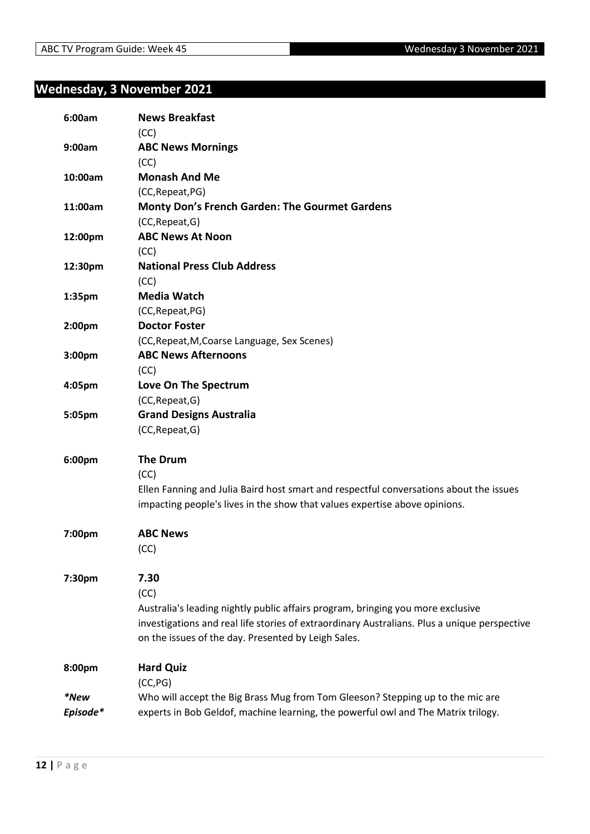#### <span id="page-11-0"></span>**Wednesday, 3 November 2021**

| 6:00am   | <b>News Breakfast</b>                                                                        |
|----------|----------------------------------------------------------------------------------------------|
|          | (CC)                                                                                         |
| 9:00am   | <b>ABC News Mornings</b><br>(CC)                                                             |
| 10:00am  | <b>Monash And Me</b>                                                                         |
|          | (CC, Repeat, PG)                                                                             |
| 11:00am  | Monty Don's French Garden: The Gourmet Gardens                                               |
|          | (CC, Repeat, G)                                                                              |
| 12:00pm  | <b>ABC News At Noon</b>                                                                      |
|          | (CC)                                                                                         |
| 12:30pm  | <b>National Press Club Address</b>                                                           |
|          | (CC)                                                                                         |
| 1:35pm   | <b>Media Watch</b>                                                                           |
|          | (CC, Repeat, PG)                                                                             |
| 2:00pm   | <b>Doctor Foster</b>                                                                         |
|          | (CC, Repeat, M, Coarse Language, Sex Scenes)                                                 |
| 3:00pm   | <b>ABC News Afternoons</b>                                                                   |
|          | (CC)                                                                                         |
| 4:05pm   | Love On The Spectrum                                                                         |
|          | (CC, Repeat, G)                                                                              |
| 5:05pm   | <b>Grand Designs Australia</b>                                                               |
|          | (CC, Repeat, G)                                                                              |
| 6:00pm   | <b>The Drum</b>                                                                              |
|          | (CC)                                                                                         |
|          | Ellen Fanning and Julia Baird host smart and respectful conversations about the issues       |
|          | impacting people's lives in the show that values expertise above opinions.                   |
| 7:00pm   | <b>ABC News</b>                                                                              |
|          | (CC)                                                                                         |
| 7:30pm   | 7.30                                                                                         |
|          | (CC)                                                                                         |
|          | Australia's leading nightly public affairs program, bringing you more exclusive              |
|          | investigations and real life stories of extraordinary Australians. Plus a unique perspective |
|          | on the issues of the day. Presented by Leigh Sales.                                          |
| 8:00pm   | <b>Hard Quiz</b>                                                                             |
|          | (CC, PG)                                                                                     |
| *New     | Who will accept the Big Brass Mug from Tom Gleeson? Stepping up to the mic are               |
| Episode* | experts in Bob Geldof, machine learning, the powerful owl and The Matrix trilogy.            |
|          |                                                                                              |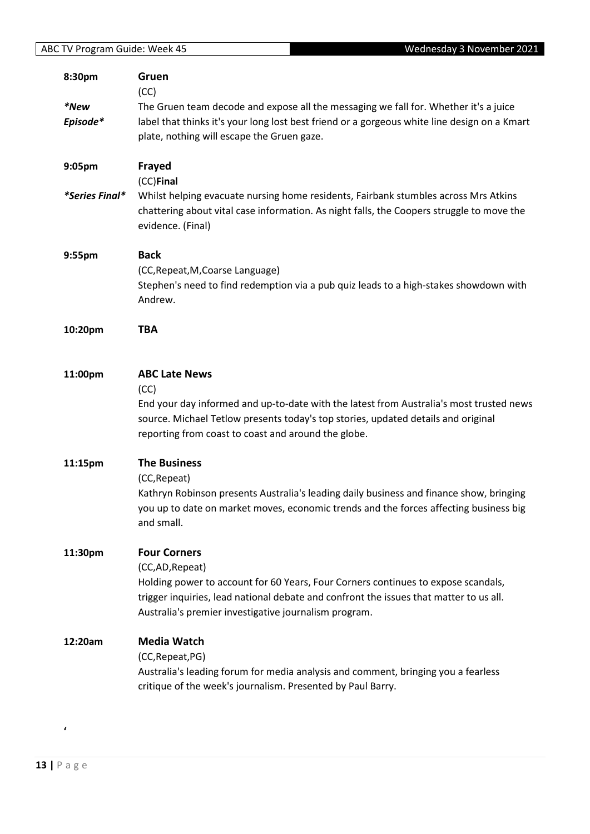| 8:30pm         | Gruen                                                                                        |
|----------------|----------------------------------------------------------------------------------------------|
|                | (CC)                                                                                         |
| *New           | The Gruen team decode and expose all the messaging we fall for. Whether it's a juice         |
| Episode*       | label that thinks it's your long lost best friend or a gorgeous white line design on a Kmart |
|                | plate, nothing will escape the Gruen gaze.                                                   |
| 9:05pm         | Frayed                                                                                       |
|                | (CC)Final                                                                                    |
| *Series Final* | Whilst helping evacuate nursing home residents, Fairbank stumbles across Mrs Atkins          |
|                | chattering about vital case information. As night falls, the Coopers struggle to move the    |
|                | evidence. (Final)                                                                            |
| 9:55pm         | <b>Back</b>                                                                                  |
|                | (CC, Repeat, M, Coarse Language)                                                             |
|                | Stephen's need to find redemption via a pub quiz leads to a high-stakes showdown with        |
|                | Andrew.                                                                                      |
| 10:20pm        | <b>TBA</b>                                                                                   |
|                |                                                                                              |
| 11:00pm        | <b>ABC Late News</b>                                                                         |
|                | (CC)                                                                                         |
|                | End your day informed and up-to-date with the latest from Australia's most trusted news      |
|                | source. Michael Tetlow presents today's top stories, updated details and original            |
|                | reporting from coast to coast and around the globe.                                          |
| 11:15pm        | <b>The Business</b>                                                                          |
|                | (CC, Repeat)                                                                                 |
|                | Kathryn Robinson presents Australia's leading daily business and finance show, bringing      |
|                | you up to date on market moves, economic trends and the forces affecting business big        |
|                | and small.                                                                                   |
| 11:30pm        | <b>Four Corners</b>                                                                          |
|                | (CC,AD, Repeat)                                                                              |
|                | Holding power to account for 60 Years, Four Corners continues to expose scandals,            |
|                | trigger inquiries, lead national debate and confront the issues that matter to us all.       |
|                | Australia's premier investigative journalism program.                                        |
| 12:20am        | <b>Media Watch</b>                                                                           |
|                | (CC, Repeat, PG)                                                                             |
|                | Australia's leading forum for media analysis and comment, bringing you a fearless            |
|                | critique of the week's journalism. Presented by Paul Barry.                                  |

**'**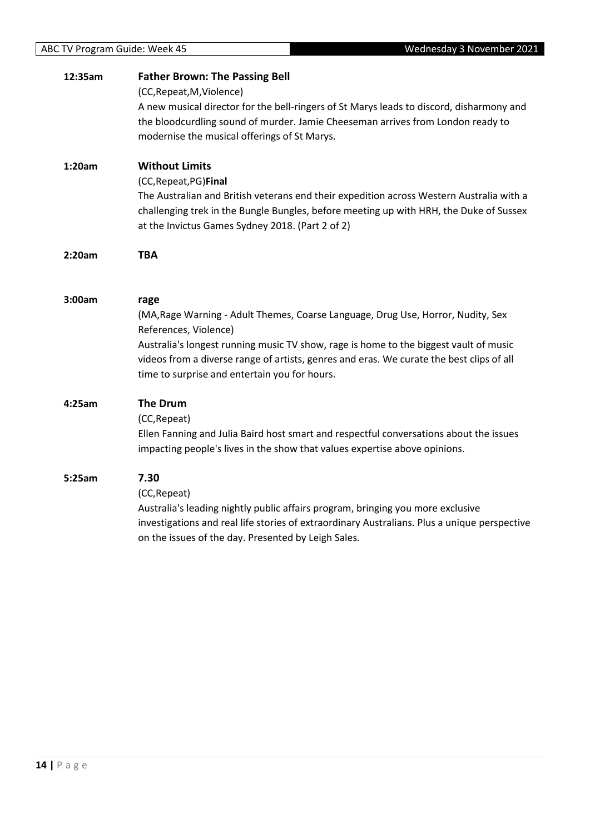| 12:35am | <b>Father Brown: The Passing Bell</b><br>(CC, Repeat, M, Violence)<br>A new musical director for the bell-ringers of St Marys leads to discord, disharmony and<br>the bloodcurdling sound of murder. Jamie Cheeseman arrives from London ready to<br>modernise the musical offerings of St Marys.                                                       |
|---------|---------------------------------------------------------------------------------------------------------------------------------------------------------------------------------------------------------------------------------------------------------------------------------------------------------------------------------------------------------|
| 1:20am  | <b>Without Limits</b><br>(CC, Repeat, PG) Final<br>The Australian and British veterans end their expedition across Western Australia with a<br>challenging trek in the Bungle Bungles, before meeting up with HRH, the Duke of Sussex<br>at the Invictus Games Sydney 2018. (Part 2 of 2)                                                               |
| 2:20am  | <b>TBA</b>                                                                                                                                                                                                                                                                                                                                              |
| 3:00am  | rage<br>(MA, Rage Warning - Adult Themes, Coarse Language, Drug Use, Horror, Nudity, Sex<br>References, Violence)<br>Australia's longest running music TV show, rage is home to the biggest vault of music<br>videos from a diverse range of artists, genres and eras. We curate the best clips of all<br>time to surprise and entertain you for hours. |
| 4:25am  | <b>The Drum</b><br>(CC, Repeat)<br>Ellen Fanning and Julia Baird host smart and respectful conversations about the issues<br>impacting people's lives in the show that values expertise above opinions.                                                                                                                                                 |
| 5:25am  | 7.30<br>(CC, Repeat)<br>Australia's leading nightly public affairs program, bringing you more exclusive<br>investigations and real life stories of extraordinary Australians. Plus a unique perspective<br>on the issues of the day. Presented by Leigh Sales.                                                                                          |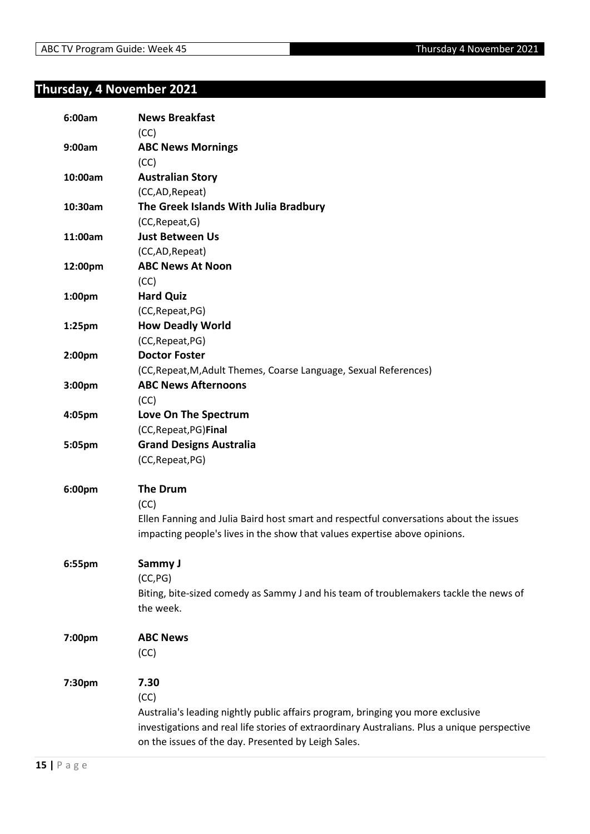# <span id="page-14-0"></span>**Thursday, 4 November 2021**

| 6:00am             | <b>News Breakfast</b><br>(CC)                                                                |
|--------------------|----------------------------------------------------------------------------------------------|
| 9:00am             | <b>ABC News Mornings</b>                                                                     |
|                    | (CC)                                                                                         |
| 10:00am            | <b>Australian Story</b>                                                                      |
|                    | (CC,AD,Repeat)                                                                               |
| 10:30am            | The Greek Islands With Julia Bradbury                                                        |
|                    | (CC, Repeat, G)                                                                              |
| 11:00am            | <b>Just Between Us</b>                                                                       |
|                    | (CC,AD, Repeat)                                                                              |
| 12:00pm            | <b>ABC News At Noon</b>                                                                      |
|                    | (CC)                                                                                         |
| 1:00 <sub>pm</sub> | <b>Hard Quiz</b>                                                                             |
|                    | (CC, Repeat, PG)                                                                             |
| $1:25$ pm          | <b>How Deadly World</b>                                                                      |
|                    | (CC, Repeat, PG)                                                                             |
| 2:00pm             | <b>Doctor Foster</b>                                                                         |
|                    | (CC, Repeat, M, Adult Themes, Coarse Language, Sexual References)                            |
| 3:00pm             | <b>ABC News Afternoons</b>                                                                   |
|                    | (CC)                                                                                         |
| 4:05pm             | Love On The Spectrum                                                                         |
|                    | (CC, Repeat, PG) Final                                                                       |
| 5:05pm             | <b>Grand Designs Australia</b>                                                               |
|                    | (CC, Repeat, PG)                                                                             |
| 6:00pm             | <b>The Drum</b>                                                                              |
|                    | (CC)                                                                                         |
|                    | Ellen Fanning and Julia Baird host smart and respectful conversations about the issues       |
|                    | impacting people's lives in the show that values expertise above opinions.                   |
| 6:55pm             | Sammy J                                                                                      |
|                    | (CC, PG)                                                                                     |
|                    | Biting, bite-sized comedy as Sammy J and his team of troublemakers tackle the news of        |
|                    | the week.                                                                                    |
| 7:00pm             | <b>ABC News</b>                                                                              |
|                    | (CC)                                                                                         |
| 7:30pm             | 7.30                                                                                         |
|                    | (CC)                                                                                         |
|                    | Australia's leading nightly public affairs program, bringing you more exclusive              |
|                    | investigations and real life stories of extraordinary Australians. Plus a unique perspective |
|                    | on the issues of the day. Presented by Leigh Sales.                                          |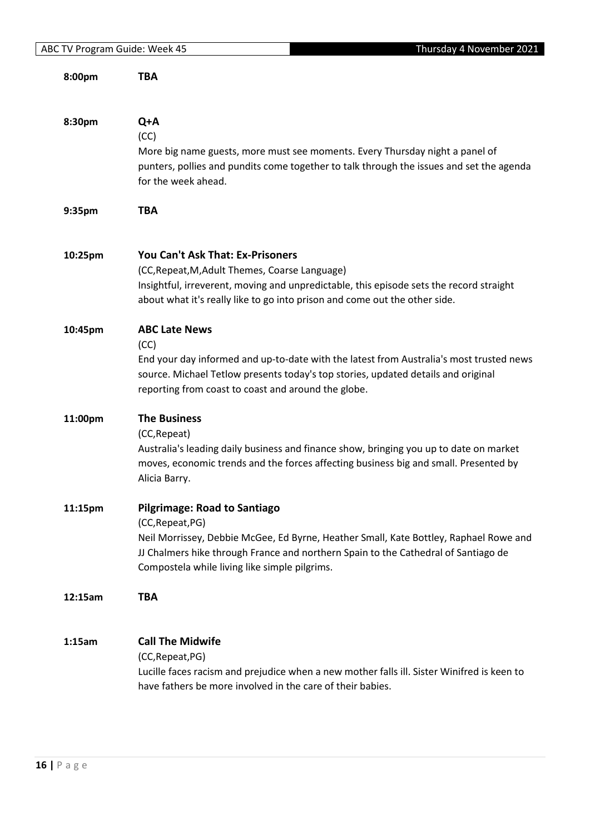| 8:00pm  | <b>TBA</b>                                                                                                                                                                                                                                                         |
|---------|--------------------------------------------------------------------------------------------------------------------------------------------------------------------------------------------------------------------------------------------------------------------|
|         |                                                                                                                                                                                                                                                                    |
| 8:30pm  | Q+A<br>(CC)<br>More big name guests, more must see moments. Every Thursday night a panel of<br>punters, pollies and pundits come together to talk through the issues and set the agenda<br>for the week ahead.                                                     |
| 9:35pm  | <b>TBA</b>                                                                                                                                                                                                                                                         |
|         |                                                                                                                                                                                                                                                                    |
| 10:25pm | <b>You Can't Ask That: Ex-Prisoners</b><br>(CC, Repeat, M, Adult Themes, Coarse Language)<br>Insightful, irreverent, moving and unpredictable, this episode sets the record straight<br>about what it's really like to go into prison and come out the other side. |
| 10:45pm | <b>ABC Late News</b><br>(CC)<br>End your day informed and up-to-date with the latest from Australia's most trusted news<br>source. Michael Tetlow presents today's top stories, updated details and original                                                       |
|         | reporting from coast to coast and around the globe.                                                                                                                                                                                                                |
| 11:00pm | <b>The Business</b><br>(CC, Repeat)<br>Australia's leading daily business and finance show, bringing you up to date on market<br>moves, economic trends and the forces affecting business big and small. Presented by<br>Alicia Barry.                             |
| 11:15pm | <b>Pilgrimage: Road to Santiago</b>                                                                                                                                                                                                                                |
|         | (CC, Repeat, PG)<br>Neil Morrissey, Debbie McGee, Ed Byrne, Heather Small, Kate Bottley, Raphael Rowe and<br>JJ Chalmers hike through France and northern Spain to the Cathedral of Santiago de<br>Compostela while living like simple pilgrims.                   |
| 12:15am | <b>TBA</b>                                                                                                                                                                                                                                                         |
| 1:15am  | <b>Call The Midwife</b><br>(CC, Repeat, PG)<br>Lucille faces racism and prejudice when a new mother falls ill. Sister Winifred is keen to<br>have fathers be more involved in the care of their babies.                                                            |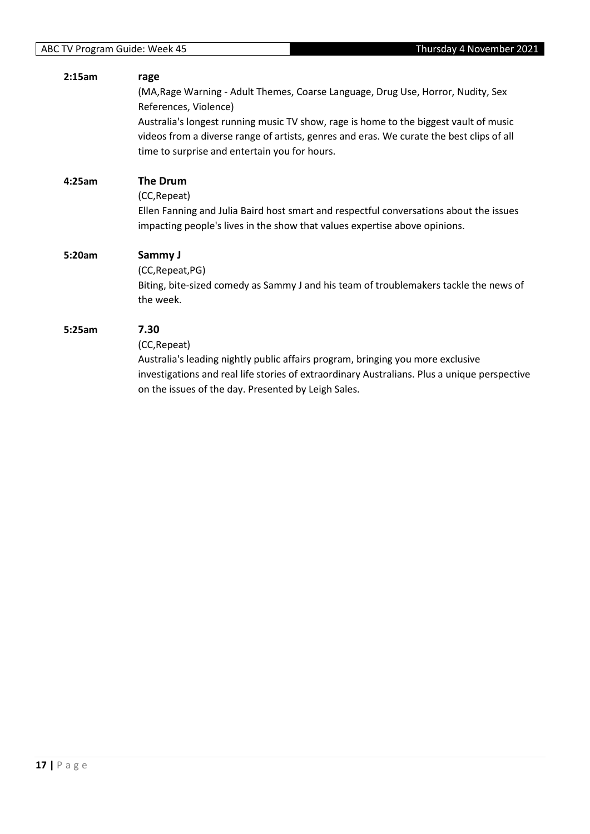#### **2:15am rage** (MA,Rage Warning - Adult Themes, Coarse Language, Drug Use, Horror, Nudity, Sex References, Violence) Australia's longest running music TV show, rage is home to the biggest vault of music videos from a diverse range of artists, genres and eras. We curate the best clips of all time to surprise and entertain you for hours. **4:25am The Drum** (CC,Repeat) Ellen Fanning and Julia Baird host smart and respectful conversations about the issues impacting people's lives in the show that values expertise above opinions. **5:20am Sammy J** (CC,Repeat,PG) Biting, bite-sized comedy as Sammy J and his team of troublemakers tackle the news of the week. **5:25am 7.30** (CC,Repeat) Australia's leading nightly public affairs program, bringing you more exclusive investigations and real life stories of extraordinary Australians. Plus a unique perspective on the issues of the day. Presented by Leigh Sales.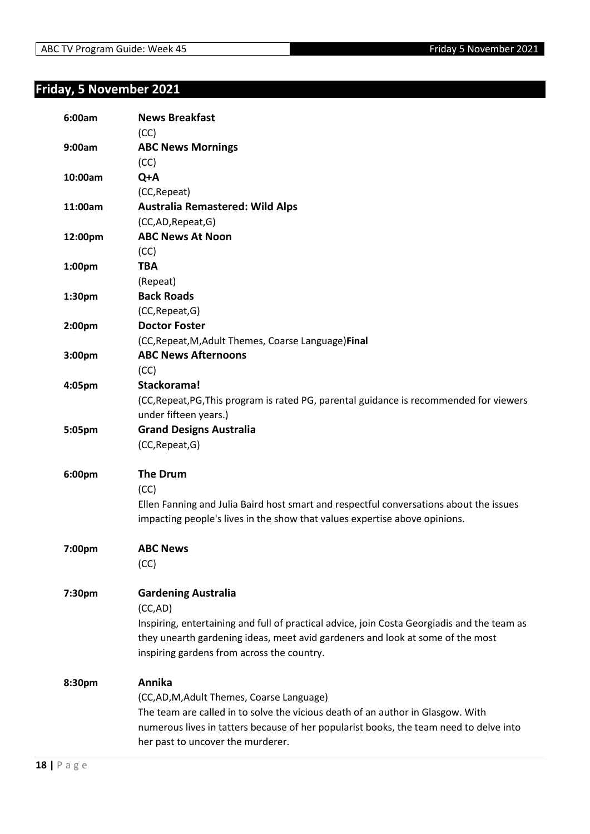# <span id="page-17-0"></span>**Friday, 5 November 2021**

| 6:00am  | <b>News Breakfast</b><br>(CC)                                                               |
|---------|---------------------------------------------------------------------------------------------|
| 9:00am  | <b>ABC News Mornings</b>                                                                    |
|         | (CC)                                                                                        |
| 10:00am | Q+A                                                                                         |
|         | (CC, Repeat)                                                                                |
| 11:00am | <b>Australia Remastered: Wild Alps</b>                                                      |
|         | (CC,AD,Repeat,G)                                                                            |
| 12:00pm | <b>ABC News At Noon</b>                                                                     |
|         | (CC)                                                                                        |
| 1:00pm  | <b>TBA</b>                                                                                  |
|         | (Repeat)                                                                                    |
|         | <b>Back Roads</b>                                                                           |
| 1:30pm  |                                                                                             |
|         | (CC, Repeat, G)<br><b>Doctor Foster</b>                                                     |
| 2:00pm  |                                                                                             |
|         | (CC, Repeat, M, Adult Themes, Coarse Language) Final                                        |
| 3:00pm  | <b>ABC News Afternoons</b>                                                                  |
|         | (CC)                                                                                        |
| 4:05pm  | Stackorama!                                                                                 |
|         | (CC, Repeat, PG, This program is rated PG, parental guidance is recommended for viewers     |
|         | under fifteen years.)                                                                       |
| 5:05pm  | <b>Grand Designs Australia</b>                                                              |
|         | (CC, Repeat, G)                                                                             |
| 6:00pm  | <b>The Drum</b>                                                                             |
|         | (CC)                                                                                        |
|         | Ellen Fanning and Julia Baird host smart and respectful conversations about the issues      |
|         | impacting people's lives in the show that values expertise above opinions.                  |
|         |                                                                                             |
| 7:00pm  | <b>ABC News</b>                                                                             |
|         | (CC)                                                                                        |
|         |                                                                                             |
| 7:30pm  | <b>Gardening Australia</b>                                                                  |
|         | (CC,AD)                                                                                     |
|         | Inspiring, entertaining and full of practical advice, join Costa Georgiadis and the team as |
|         | they unearth gardening ideas, meet avid gardeners and look at some of the most              |
|         | inspiring gardens from across the country.                                                  |
| 8:30pm  | Annika                                                                                      |
|         | (CC,AD,M,Adult Themes, Coarse Language)                                                     |
|         | The team are called in to solve the vicious death of an author in Glasgow. With             |
|         | numerous lives in tatters because of her popularist books, the team need to delve into      |
|         | her past to uncover the murderer.                                                           |
|         |                                                                                             |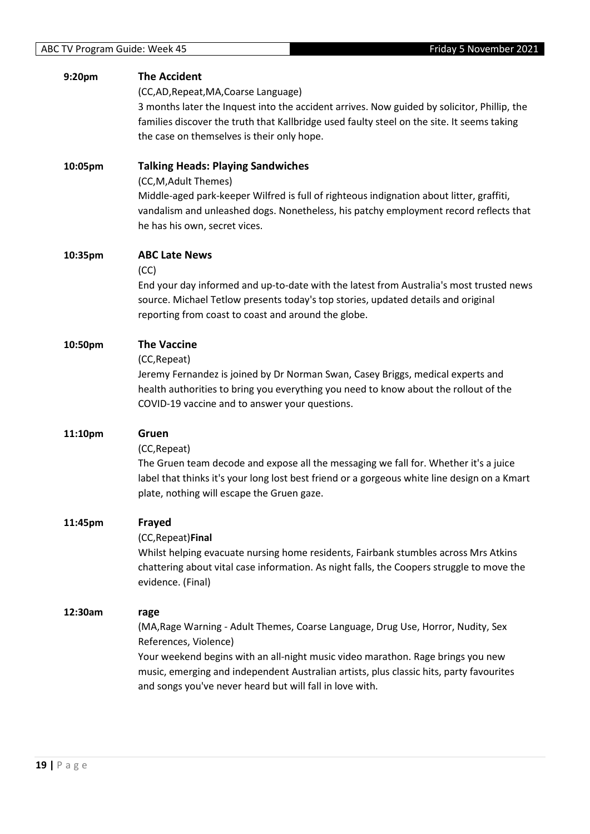| 9:20pm  | <b>The Accident</b><br>(CC,AD, Repeat, MA, Coarse Language)<br>3 months later the Inquest into the accident arrives. Now guided by solicitor, Phillip, the<br>families discover the truth that Kallbridge used faulty steel on the site. It seems taking<br>the case on themselves is their only hope.                                                      |
|---------|-------------------------------------------------------------------------------------------------------------------------------------------------------------------------------------------------------------------------------------------------------------------------------------------------------------------------------------------------------------|
| 10:05pm | <b>Talking Heads: Playing Sandwiches</b><br>(CC, M, Adult Themes)<br>Middle-aged park-keeper Wilfred is full of righteous indignation about litter, graffiti,<br>vandalism and unleashed dogs. Nonetheless, his patchy employment record reflects that<br>he has his own, secret vices.                                                                     |
| 10:35pm | <b>ABC Late News</b><br>(CC)<br>End your day informed and up-to-date with the latest from Australia's most trusted news<br>source. Michael Tetlow presents today's top stories, updated details and original<br>reporting from coast to coast and around the globe.                                                                                         |
| 10:50pm | <b>The Vaccine</b><br>(CC, Repeat)<br>Jeremy Fernandez is joined by Dr Norman Swan, Casey Briggs, medical experts and<br>health authorities to bring you everything you need to know about the rollout of the<br>COVID-19 vaccine and to answer your questions.                                                                                             |
| 11:10pm | Gruen<br>(CC, Repeat)<br>The Gruen team decode and expose all the messaging we fall for. Whether it's a juice<br>label that thinks it's your long lost best friend or a gorgeous white line design on a Kmart<br>plate, nothing will escape the Gruen gaze.                                                                                                 |
| 11:45pm | Frayed<br>(CC, Repeat) Final<br>Whilst helping evacuate nursing home residents, Fairbank stumbles across Mrs Atkins<br>chattering about vital case information. As night falls, the Coopers struggle to move the<br>evidence. (Final)                                                                                                                       |
| 12:30am | rage<br>(MA, Rage Warning - Adult Themes, Coarse Language, Drug Use, Horror, Nudity, Sex<br>References, Violence)<br>Your weekend begins with an all-night music video marathon. Rage brings you new<br>music, emerging and independent Australian artists, plus classic hits, party favourites<br>and songs you've never heard but will fall in love with. |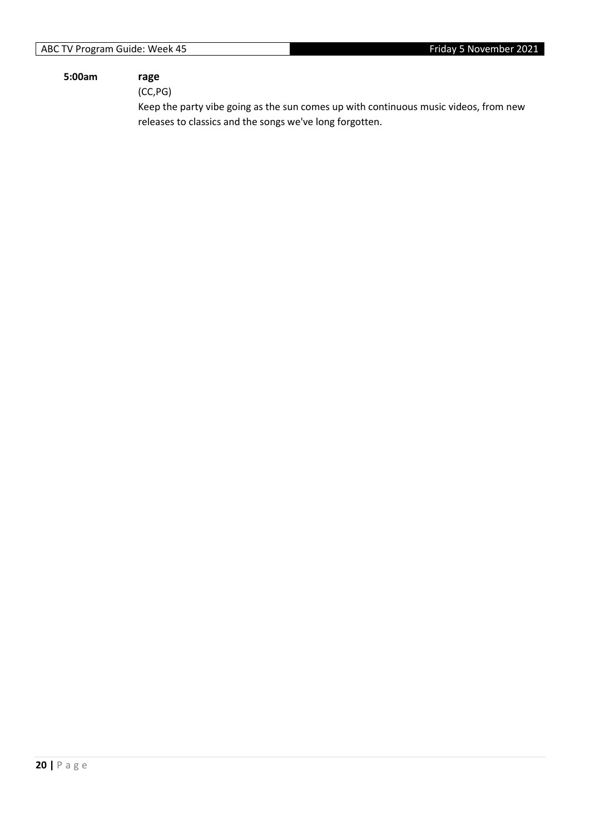#### **5:00am rage**

(CC,PG)

Keep the party vibe going as the sun comes up with continuous music videos, from new releases to classics and the songs we've long forgotten.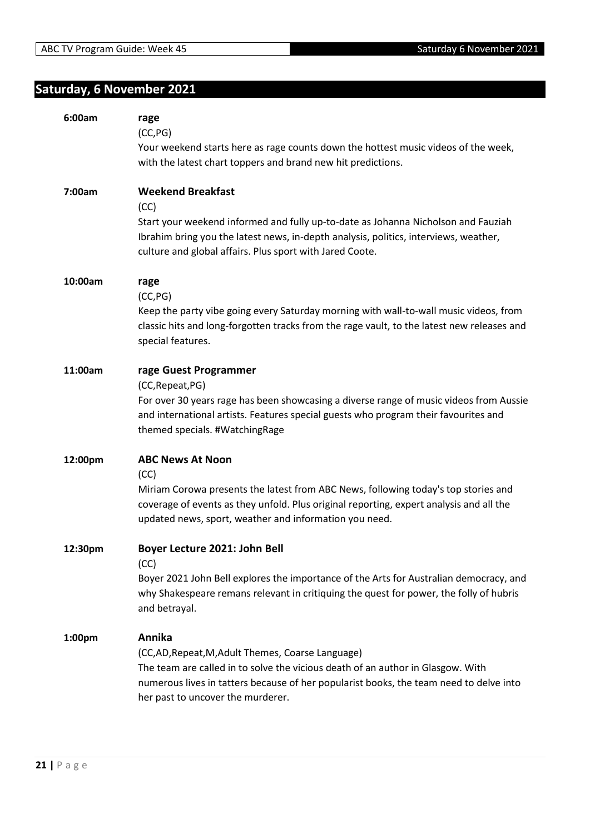# <span id="page-20-0"></span>**Saturday, 6 November 2021**

| 6:00am  | rage<br>(CC, PG)<br>Your weekend starts here as rage counts down the hottest music videos of the week,<br>with the latest chart toppers and brand new hit predictions.                                                                                                        |
|---------|-------------------------------------------------------------------------------------------------------------------------------------------------------------------------------------------------------------------------------------------------------------------------------|
| 7:00am  | <b>Weekend Breakfast</b><br>(CC)<br>Start your weekend informed and fully up-to-date as Johanna Nicholson and Fauziah<br>Ibrahim bring you the latest news, in-depth analysis, politics, interviews, weather,<br>culture and global affairs. Plus sport with Jared Coote.     |
| 10:00am | rage<br>(CC, PG)<br>Keep the party vibe going every Saturday morning with wall-to-wall music videos, from<br>classic hits and long-forgotten tracks from the rage vault, to the latest new releases and<br>special features.                                                  |
| 11:00am | rage Guest Programmer<br>(CC, Repeat, PG)<br>For over 30 years rage has been showcasing a diverse range of music videos from Aussie<br>and international artists. Features special guests who program their favourites and<br>themed specials. #WatchingRage                  |
| 12:00pm | <b>ABC News At Noon</b><br>(CC)<br>Miriam Corowa presents the latest from ABC News, following today's top stories and<br>coverage of events as they unfold. Plus original reporting, expert analysis and all the<br>updated news, sport, weather and information you need.    |
| 12:30pm | Boyer Lecture 2021: John Bell<br>(CC)<br>Boyer 2021 John Bell explores the importance of the Arts for Australian democracy, and<br>why Shakespeare remans relevant in critiquing the quest for power, the folly of hubris<br>and betrayal.                                    |
| 1:00pm  | Annika<br>(CC,AD, Repeat, M, Adult Themes, Coarse Language)<br>The team are called in to solve the vicious death of an author in Glasgow. With<br>numerous lives in tatters because of her popularist books, the team need to delve into<br>her past to uncover the murderer. |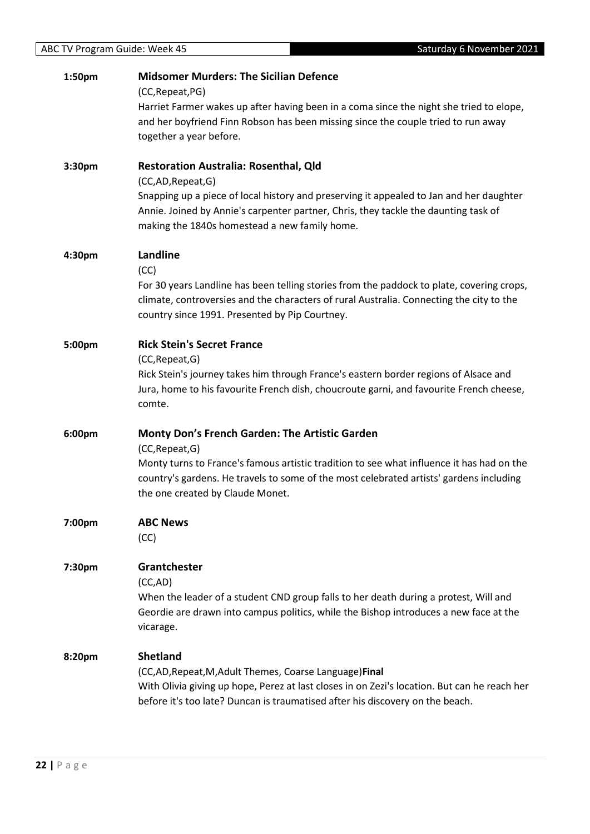| 1:50pm | <b>Midsomer Murders: The Sicilian Defence</b>                                                                                                                                |
|--------|------------------------------------------------------------------------------------------------------------------------------------------------------------------------------|
|        | (CC, Repeat, PG)                                                                                                                                                             |
|        | Harriet Farmer wakes up after having been in a coma since the night she tried to elope,<br>and her boyfriend Finn Robson has been missing since the couple tried to run away |
|        | together a year before.                                                                                                                                                      |
|        |                                                                                                                                                                              |
| 3:30pm | <b>Restoration Australia: Rosenthal, Qld</b>                                                                                                                                 |
|        | (CC,AD, Repeat, G)                                                                                                                                                           |
|        | Snapping up a piece of local history and preserving it appealed to Jan and her daughter                                                                                      |
|        | Annie. Joined by Annie's carpenter partner, Chris, they tackle the daunting task of                                                                                          |
|        | making the 1840s homestead a new family home.                                                                                                                                |
| 4:30pm | Landline                                                                                                                                                                     |
|        | (CC)                                                                                                                                                                         |
|        | For 30 years Landline has been telling stories from the paddock to plate, covering crops,                                                                                    |
|        | climate, controversies and the characters of rural Australia. Connecting the city to the                                                                                     |
|        | country since 1991. Presented by Pip Courtney.                                                                                                                               |
| 5:00pm | <b>Rick Stein's Secret France</b>                                                                                                                                            |
|        | (CC, Repeat, G)                                                                                                                                                              |
|        | Rick Stein's journey takes him through France's eastern border regions of Alsace and                                                                                         |
|        | Jura, home to his favourite French dish, choucroute garni, and favourite French cheese,                                                                                      |
|        | comte.                                                                                                                                                                       |
|        | Monty Don's French Garden: The Artistic Garden                                                                                                                               |
| 6:00pm | (CC, Repeat, G)                                                                                                                                                              |
|        | Monty turns to France's famous artistic tradition to see what influence it has had on the                                                                                    |
|        | country's gardens. He travels to some of the most celebrated artists' gardens including                                                                                      |
|        | the one created by Claude Monet.                                                                                                                                             |
|        |                                                                                                                                                                              |
| 7:00pm | <b>ABC News</b>                                                                                                                                                              |
|        | (CC)                                                                                                                                                                         |
| 7:30pm | Grantchester                                                                                                                                                                 |
|        | (CC,AD)                                                                                                                                                                      |
|        | When the leader of a student CND group falls to her death during a protest, Will and                                                                                         |
|        | Geordie are drawn into campus politics, while the Bishop introduces a new face at the                                                                                        |
|        | vicarage.                                                                                                                                                                    |
| 8:20pm | <b>Shetland</b>                                                                                                                                                              |
|        | (CC,AD, Repeat, M, Adult Themes, Coarse Language) Final                                                                                                                      |
|        | With Olivia giving up hope, Perez at last closes in on Zezi's location. But can he reach her                                                                                 |
|        | before it's too late? Duncan is traumatised after his discovery on the beach.                                                                                                |
|        |                                                                                                                                                                              |